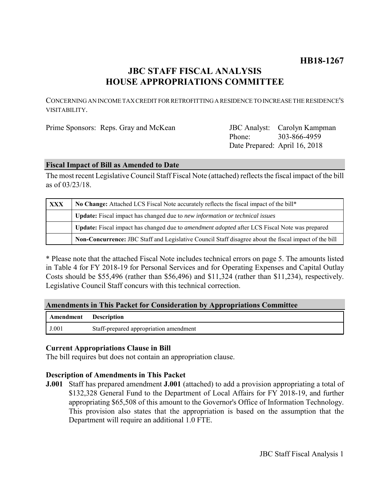# **HB18-1267**

## **JBC STAFF FISCAL ANALYSIS HOUSE APPROPRIATIONS COMMITTEE**

CONCERNING AN INCOME TAX CREDIT FOR RETROFITTING A RESIDENCE TO INCREASE THE RESIDENCE'S VISITABILITY.

Phone: Date Prepared: April 16, 2018 303-866-4959

#### **Fiscal Impact of Bill as Amended to Date**

The most recent Legislative Council Staff Fiscal Note (attached) reflects the fiscal impact of the bill as of 03/23/18.

| <b>XXX</b> | No Change: Attached LCS Fiscal Note accurately reflects the fiscal impact of the bill*                      |
|------------|-------------------------------------------------------------------------------------------------------------|
|            | Update: Fiscal impact has changed due to new information or technical issues                                |
|            | <b>Update:</b> Fiscal impact has changed due to <i>amendment adopted</i> after LCS Fiscal Note was prepared |
|            | Non-Concurrence: JBC Staff and Legislative Council Staff disagree about the fiscal impact of the bill       |

\* Please note that the attached Fiscal Note includes technical errors on page 5. The amounts listed in Table 4 for FY 2018-19 for Personal Services and for Operating Expenses and Capital Outlay Costs should be \$55,496 (rather than \$56,496) and \$11,324 (rather than \$11,234), respectively. Legislative Council Staff concurs with this technical correction.

### **Amendments in This Packet for Consideration by Appropriations Committee**

| <b>Amendment</b> Description |                                        |
|------------------------------|----------------------------------------|
| J.001                        | Staff-prepared appropriation amendment |

### **Current Appropriations Clause in Bill**

The bill requires but does not contain an appropriation clause.

### **Description of Amendments in This Packet**

**J.001** Staff has prepared amendment **J.001** (attached) to add a provision appropriating a total of \$132,328 General Fund to the Department of Local Affairs for FY 2018-19, and further appropriating \$65,508 of this amount to the Governor's Office of Information Technology. This provision also states that the appropriation is based on the assumption that the Department will require an additional 1.0 FTE.